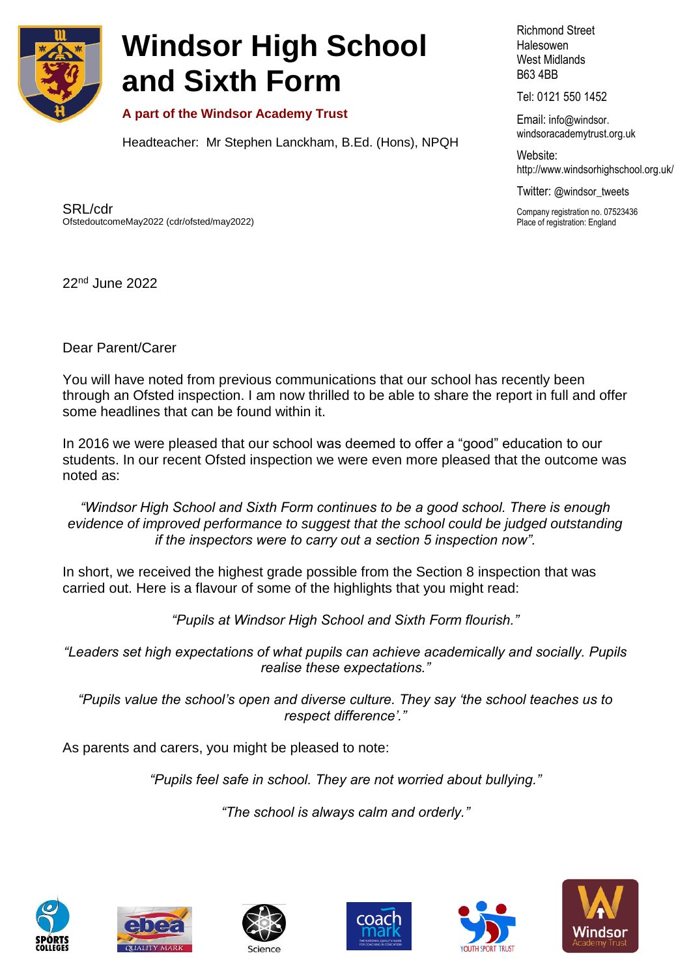

## **Windsor High School and Sixth Form**

**A part of the Windsor Academy Trust**

Headteacher: Mr Stephen Lanckham, B.Ed. (Hons), NPQH

Richmond Street Halesowen West Midlands B63 4BB

Tel: 0121 550 1452

Email: info@windsor. windsoracademytrust.org.uk

Website: <http://www.windsorhighschool.org.uk/>

Twitter: @windsor\_tweets

Company registration no. 07523436 Place of registration: England

SRL/cdr OfstedoutcomeMay2022 (cdr/ofsted/may2022)

22nd June 2022

Dear Parent/Carer

You will have noted from previous communications that our school has recently been through an Ofsted inspection. I am now thrilled to be able to share the report in full and offer some headlines that can be found within it.

In 2016 we were pleased that our school was deemed to offer a "good" education to our students. In our recent Ofsted inspection we were even more pleased that the outcome was noted as:

*"Windsor High School and Sixth Form continues to be a good school. There is enough evidence of improved performance to suggest that the school could be judged outstanding if the inspectors were to carry out a section 5 inspection now".*

In short, we received the highest grade possible from the Section 8 inspection that was carried out. Here is a flavour of some of the highlights that you might read:

*"Pupils at Windsor High School and Sixth Form flourish."*

*"Leaders set high expectations of what pupils can achieve academically and socially. Pupils realise these expectations."*

*"Pupils value the school's open and diverse culture. They say 'the school teaches us to respect difference'."*

As parents and carers, you might be pleased to note:

*"Pupils feel safe in school. They are not worried about bullying."*

*"The school is always calm and orderly."*